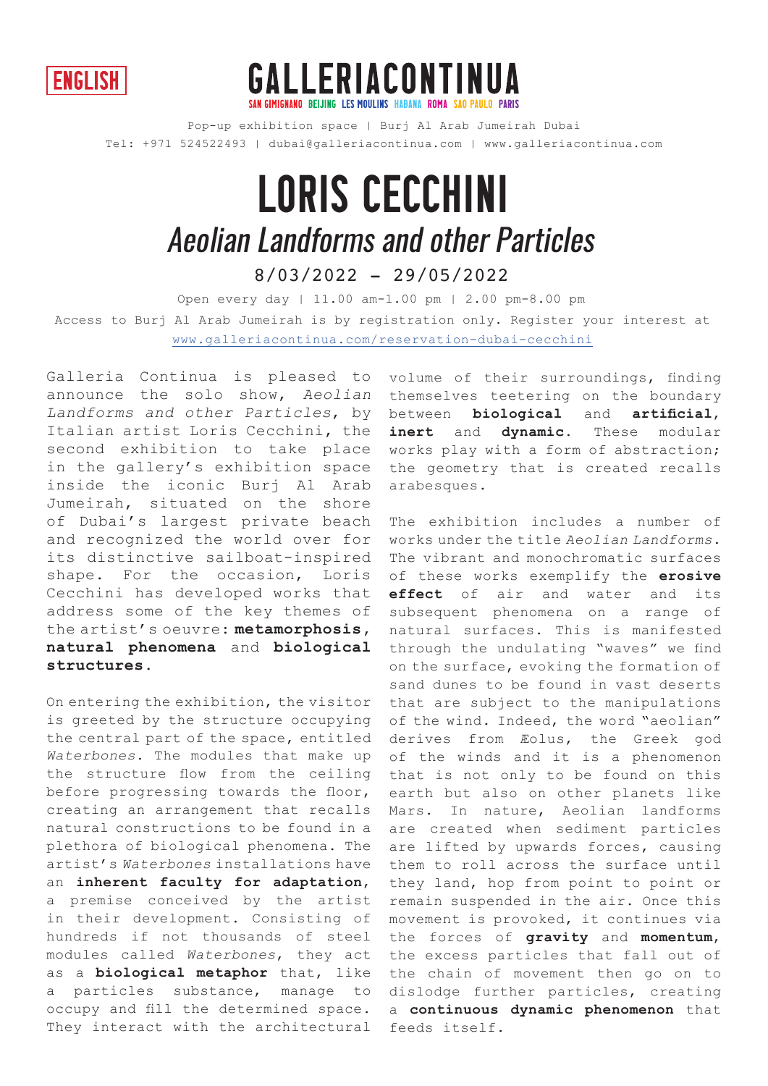



Pop-up exhibition space | Burj Al Arab Jumeirah Dubai Tel: +971 524522493 | dubai@galleriacontinua.com | www.galleriacontinua.com

## loris cecchini 8/03/2022 - 29/05/2022 Aeolian Landforms and other Particles

Open every day | 11.00 am-1.00 pm | 2.00 pm-8.00 pm Access to Burj Al Arab Jumeirah is by registration only. Register your interest at www.galleriacontinua.com/reservation-dubai-cecchini

Galleria Continua is pleased to announce the solo show, Aeolian Landforms and other Particles, by Italian artist Loris Cecchini, the second exhibition to take place in the gallery's exhibition space inside the iconic Burj Al Arab Jumeirah, situated on the shore of Dubai's largest private beach and recognized the world over for its distinctive sailboat-inspired shape. For the occasion, Loris Cecchini has developed works that address some of the key themes of the artist's oeuvre: **metamorphosis, natural phenomena** and **biological structures.**

On entering the exhibition, the visitor is greeted by the structure occupying the central part of the space, entitled Waterbones. The modules that make up the structure flow from the ceiling before progressing towards the floor, creating an arrangement that recalls natural constructions to be found in a plethora of biological phenomena. The artist's Waterbones installations have an **inherent faculty for adaptation**, a premise conceived by the artist in their development. Consisting of hundreds if not thousands of steel modules called Waterbones, they act as a **biological metaphor** that, like a particles substance, manage to occupy and fill the determined space. They interact with the architectural volume of their surroundings, finding themselves teetering on the boundary between **biological** and **artificial**, **inert** and **dynamic**. These modular works play with a form of abstraction; the geometry that is created recalls arabesques.

The exhibition includes a number of works under the title Aeolian Landforms. The vibrant and monochromatic surfaces of these works exemplify the **erosive effect** of air and water and its subsequent phenomena on a range of natural surfaces. This is manifested through the undulating "waves" we find on the surface, evoking the formation of sand dunes to be found in vast deserts that are subject to the manipulations of the wind. Indeed, the word "aeolian" derives from Æolus, the Greek god of the winds and it is a phenomenon that is not only to be found on this earth but also on other planets like Mars. In nature, Aeolian landforms are created when sediment particles are lifted by upwards forces, causing them to roll across the surface until they land, hop from point to point or remain suspended in the air. Once this movement is provoked, it continues via the forces of **gravity** and **momentum**, the excess particles that fall out of the chain of movement then go on to dislodge further particles, creating a **continuous dynamic phenomenon** that feeds itself.